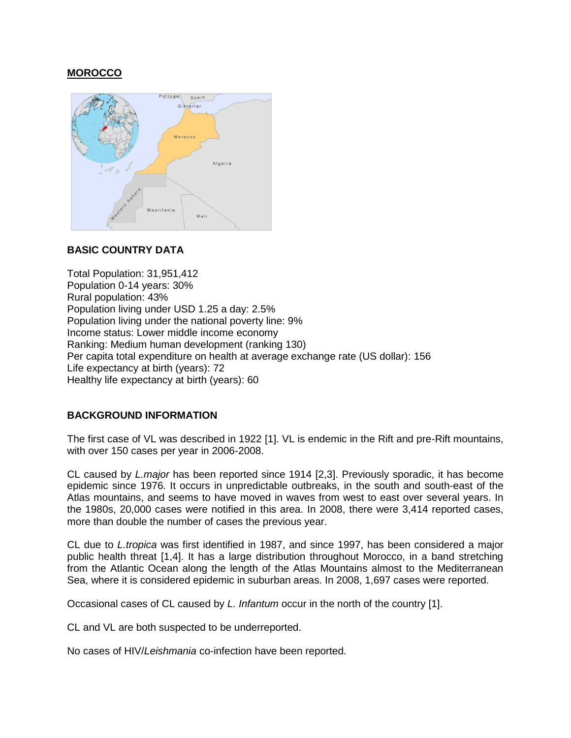# **MOROCCO**



# **BASIC COUNTRY DATA**

Total Population: 31,951,412 Population 0-14 years: 30% Rural population: 43% Population living under USD 1.25 a day: 2.5% Population living under the national poverty line: 9% Income status: Lower middle income economy Ranking: Medium human development (ranking 130) Per capita total expenditure on health at average exchange rate (US dollar): 156 Life expectancy at birth (years): 72 Healthy life expectancy at birth (years): 60

# **BACKGROUND INFORMATION**

The first case of VL was described in 1922 [1]. VL is endemic in the Rift and pre-Rift mountains, with over 150 cases per year in 2006-2008.

CL caused by *L.major* has been reported since 1914 [2,3]. Previously sporadic, it has become epidemic since 1976. It occurs in unpredictable outbreaks, in the south and south-east of the Atlas mountains, and seems to have moved in waves from west to east over several years. In the 1980s, 20,000 cases were notified in this area. In 2008, there were 3,414 reported cases, more than double the number of cases the previous year.

CL due to *L.tropica* was first identified in 1987, and since 1997, has been considered a major public health threat [1,4]. It has a large distribution throughout Morocco, in a band stretching from the Atlantic Ocean along the length of the Atlas Mountains almost to the Mediterranean Sea, where it is considered epidemic in suburban areas. In 2008, 1,697 cases were reported.

Occasional cases of CL caused by *L. Infantum* occur in the north of the country [1].

CL and VL are both suspected to be underreported.

No cases of HIV/*Leishmania* co-infection have been reported.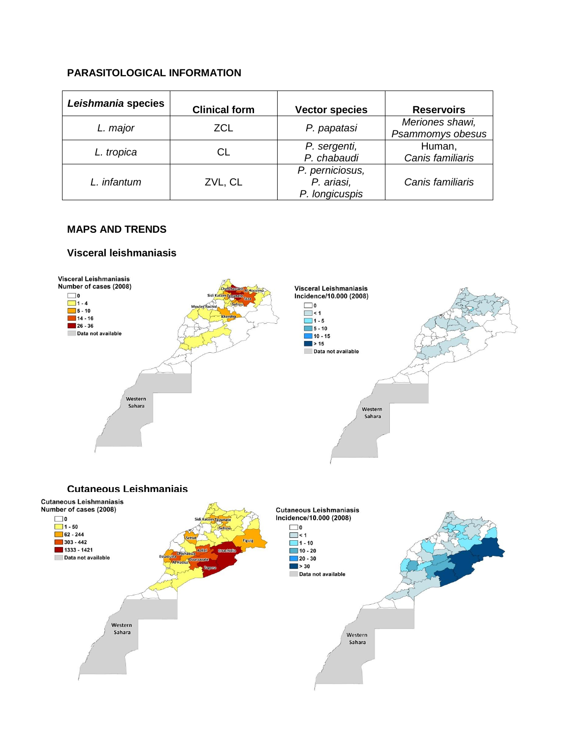# **PARASITOLOGICAL INFORMATION**

| Leishmania species | <b>Clinical form</b> | <b>Vector species</b>                           | <b>Reservoirs</b>                   |
|--------------------|----------------------|-------------------------------------------------|-------------------------------------|
| L. major           | <b>ZCL</b>           | P. papatasi                                     | Meriones shawi,<br>Psammomys obesus |
| L. tropica         | CL                   | P. sergenti,<br>P. chabaudi                     | Human,<br>Canis familiaris          |
| L. infantum        | ZVL, CL              | P. perniciosus,<br>P. ariasi,<br>P. longicuspis | Canis familiaris                    |

## **MAPS AND TRENDS**

## **Visceral leishmaniasis**

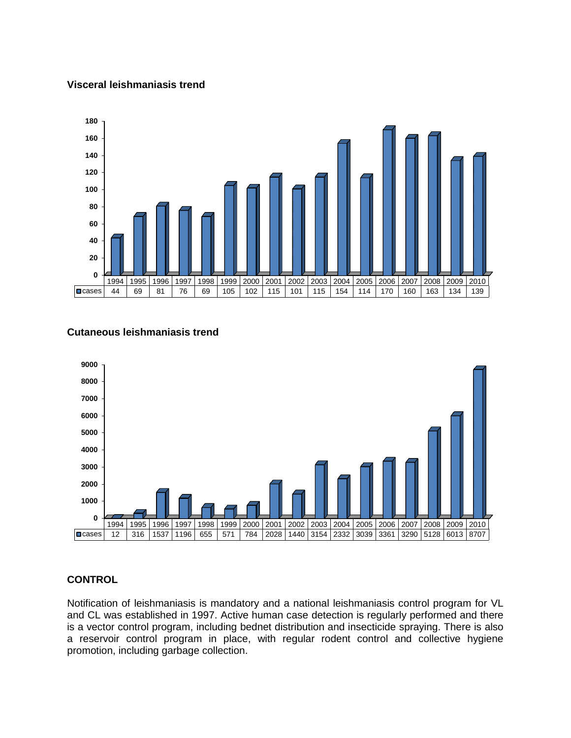### **Visceral leishmaniasis trend**



# **Cutaneous leishmaniasis trend**



# **CONTROL**

Notification of leishmaniasis is mandatory and a national leishmaniasis control program for VL and CL was established in 1997. Active human case detection is regularly performed and there is a vector control program, including bednet distribution and insecticide spraying. There is also a reservoir control program in place, with regular rodent control and collective hygiene promotion, including garbage collection.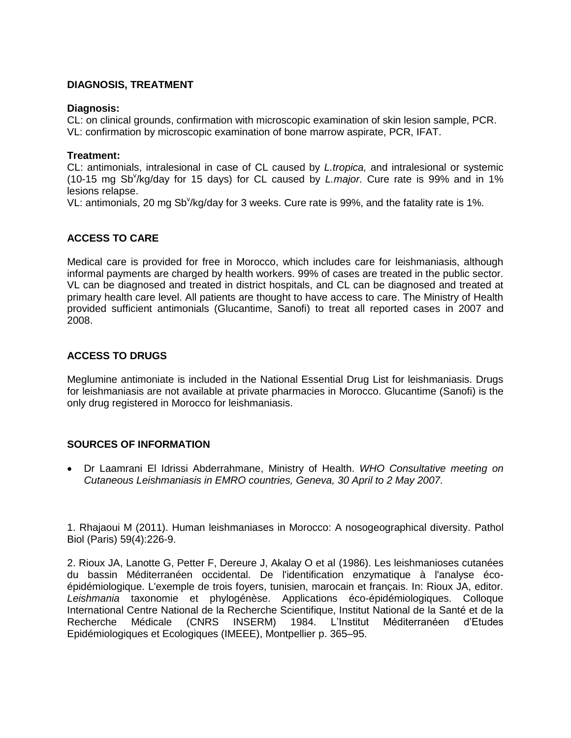## **DIAGNOSIS, TREATMENT**

### **Diagnosis:**

CL: on clinical grounds, confirmation with microscopic examination of skin lesion sample, PCR. VL: confirmation by microscopic examination of bone marrow aspirate, PCR, IFAT.

### **Treatment:**

CL: antimonials, intralesional in case of CL caused by *L.tropica,* and intralesional or systemic (10-15 mg Sb<sup>y</sup>/kg/day for 15 days) for CL caused by *L.major*. Cure rate is 99% and in 1% lesions relapse.

VL: antimonials, 20 mg Sb<sup>v</sup>/kg/day for 3 weeks. Cure rate is 99%, and the fatality rate is 1%.

# **ACCESS TO CARE**

Medical care is provided for free in Morocco, which includes care for leishmaniasis, although informal payments are charged by health workers. 99% of cases are treated in the public sector. VL can be diagnosed and treated in district hospitals, and CL can be diagnosed and treated at primary health care level. All patients are thought to have access to care. The Ministry of Health provided sufficient antimonials (Glucantime, Sanofi) to treat all reported cases in 2007 and 2008.

## **ACCESS TO DRUGS**

Meglumine antimoniate is included in the National Essential Drug List for leishmaniasis. Drugs for leishmaniasis are not available at private pharmacies in Morocco. Glucantime (Sanofi) is the only drug registered in Morocco for leishmaniasis.

### **SOURCES OF INFORMATION**

 Dr Laamrani El Idrissi Abderrahmane, Ministry of Health. *WHO Consultative meeting on Cutaneous Leishmaniasis in EMRO countries, Geneva, 30 April to 2 May 2007.*

1. [Rhajaoui M](http://www.ncbi.nlm.nih.gov/pubmed?term=%22Rhajaoui%20M%22%5BAuthor%5D) (2011). Human leishmaniases in Morocco: A nosogeographical diversity. [Pathol](javascript:AL_get(this,%20)  [Biol \(Paris\)](javascript:AL_get(this,%20) 59(4):226-9.

2. Rioux JA, Lanotte G, Petter F, Dereure J, Akalay O et al (1986). Les leishmanioses cutanées du bassin Méditerranéen occidental. De l'identification enzymatique à l'analyse écoépidémiologique. L'exemple de trois foyers, tunisien, marocain et français. In: Rioux JA, editor. *Leishmania* taxonomie et phylogénèse. Applications éco-épidémiologiques. Colloque International Centre National de la Recherche Scientifique, Institut National de la Santé et de la Recherche Médicale (CNRS INSERM) 1984. L'Institut Méditerranéen d'Etudes Epidémiologiques et Ecologiques (IMEEE), Montpellier p. 365–95.